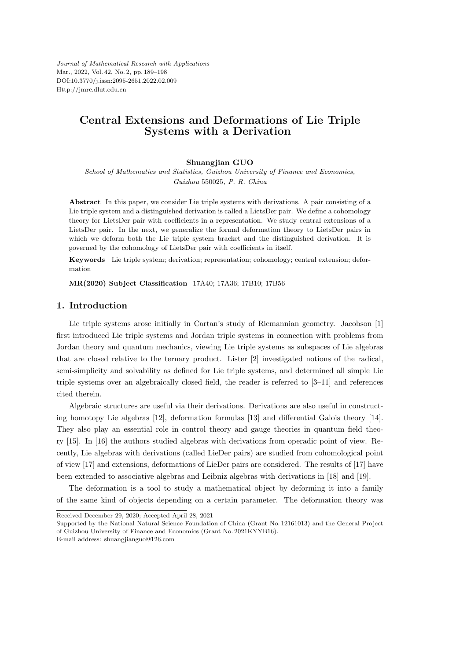*Journal of Mathematical Research with Applications* Mar., 2022, Vol. 42, No. 2, pp. 189–198 DOI:10.3770/j.issn:2095-2651.2022.02.009 Http://jmre.dlut.edu.cn

# **Central Extensions and Deformations of Lie Triple Systems with a Derivation**

#### **Shuangjian GUO**

*School of Mathematics and Statistics, Guizhou University of Finance and Economics, Guizhou* 550025*, P. R. China*

**Abstract** In this paper, we consider Lie triple systems with derivations. A pair consisting of a Lie triple system and a distinguished derivation is called a LietsDer pair. We define a cohomology theory for LietsDer pair with coefficients in a representation. We study central extensions of a LietsDer pair. In the next, we generalize the formal deformation theory to LietsDer pairs in which we deform both the Lie triple system bracket and the distinguished derivation. It is governed by the cohomology of LietsDer pair with coefficients in itself.

**Keywords** Lie triple system; derivation; representation; cohomology; central extension; deformation

**MR(2020) Subject Classification** 17A40; 17A36; 17B10; 17B56

### **1. Introduction**

Lie triple systems arose initially in Cartan's study of Riemannian geometry. Jacobson [1] first introduced Lie triple systems and Jordan triple systems in connection with problems from Jordan theory and quantum mechanics, viewing Lie triple systems as subspaces of Lie algebras that are closed relative to the ternary product. Lister [2] investigated notions of the radical, semi-simplicity and solvability as defined for Lie triple systems, and determined all simple Lie triple systems over an algebraically closed field, the reader is referred to [3–11] and references cited therein.

Algebraic structures are useful via their derivations. Derivations are also useful in constructing homotopy Lie algebras [12], deformation formulas [13] and differential Galois theory [14]. They also play an essential role in control theory and gauge theories in quantum field theory [15]. In [16] the authors studied algebras with derivations from operadic point of view. Recently, Lie algebras with derivations (called LieDer pairs) are studied from cohomological point of view [17] and extensions, deformations of LieDer pairs are considered. The results of [17] have been extended to associative algebras and Leibniz algebras with derivations in [18] and [19].

The deformation is a tool to study a mathematical object by deforming it into a family of the same kind of objects depending on a certain parameter. The deformation theory was

Received December 29, 2020; Accepted April 28, 2021

Supported by the National Natural Science Foundation of China (Grant No. 12161013) and the General Project of Guizhou University of Finance and Economics (Grant No. 2021KYYB16).

E-mail address: shuangjianguo@126.com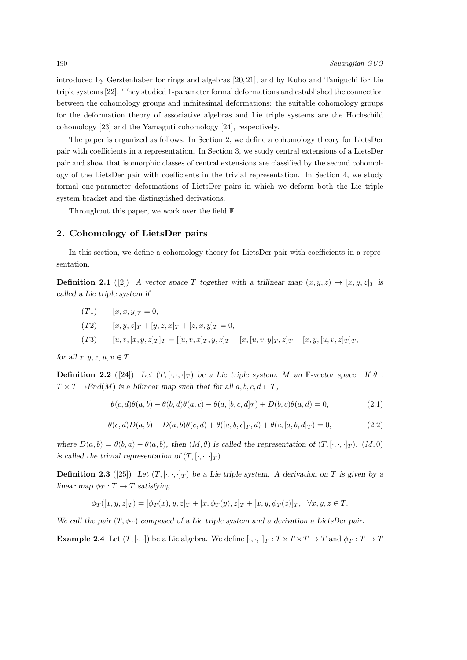introduced by Gerstenhaber for rings and algebras [20, 21], and by Kubo and Taniguchi for Lie triple systems [22]. They studied 1-parameter formal deformations and established the connection between the cohomology groups and infnitesimal deformations: the suitable cohomology groups for the deformation theory of associative algebras and Lie triple systems are the Hochschild cohomology [23] and the Yamaguti cohomology [24], respectively.

The paper is organized as follows. In Section 2, we define a cohomology theory for LietsDer pair with coefficients in a representation. In Section 3, we study central extensions of a LietsDer pair and show that isomorphic classes of central extensions are classified by the second cohomology of the LietsDer pair with coefficients in the trivial representation. In Section 4, we study formal one-parameter deformations of LietsDer pairs in which we deform both the Lie triple system bracket and the distinguished derivations.

Throughout this paper, we work over the field F.

#### **2. Cohomology of LietsDer pairs**

In this section, we define a cohomology theory for LietsDer pair with coefficients in a representation.

**Definition 2.1** ([2]) *A vector space T* together with a trilinear map  $(x, y, z) \mapsto [x, y, z]_T$  is *called a Lie triple system if*

- $[T1]$   $[x, x, y]_T = 0,$
- $(T2)$   $[x, y, z]_T + [y, z, x]_T + [z, x, y]_T = 0,$
- (T3)  $[u, v, [x, y, z]_T]_T = [[u, v, x]_T, y, z]_T + [x, [u, v, y]_T, z]_T + [x, y, [u, v, z]_T]_T,$

*for all*  $x, y, z, u, v \in T$ *.* 

**Definition 2.2** ([24]) *Let*  $(T, [\cdot, \cdot, \cdot]_T)$  *be a Lie triple system, M an* F-vector space. If  $\theta$ :  $T \times T \rightarrow End(M)$  *is a bilinear map such that for all*  $a, b, c, d \in T$ *,* 

$$
\theta(c, d)\theta(a, b) - \theta(b, d)\theta(a, c) - \theta(a, [b, c, d]_T) + D(b, c)\theta(a, d) = 0,
$$
\n(2.1)

$$
\theta(c,d)D(a,b) - D(a,b)\theta(c,d) + \theta([a,b,c]_T,d) + \theta(c,[a,b,d]_T) = 0,
$$
\n(2.2)

where  $D(a,b) = \theta(b,a) - \theta(a,b)$ , then  $(M, \theta)$  is called the representation of  $(T, [\cdot, \cdot, \cdot]_T)$ .  $(M, 0)$ *is called the trivial representation of*  $(T, [\cdot, \cdot, \cdot]_T)$ *.* 

**Definition 2.3** ([25]) Let  $(T, [\cdot, \cdot, \cdot]_T)$  be a Lie triple system. A derivation on  $T$  is given by a *linear map*  $\phi_T : T \to T$  *satisfying* 

$$
\phi_T([x,y,z]_T)=[\phi_T(x),y,z]_T+[x,\phi_T(y),z]_T+[x,y,\phi_T(z)]_T, \quad \forall x,y,z\in T.
$$

*We call the pair* (*T, ϕ<sup>T</sup>* ) *composed of a Lie triple system and a derivation a LietsDer pair.*

**Example 2.4** Let  $(T, [\cdot, \cdot])$  be a Lie algebra. We define  $[\cdot, \cdot, \cdot]_T : T \times T \times T \to T$  and  $\phi_T : T \to T$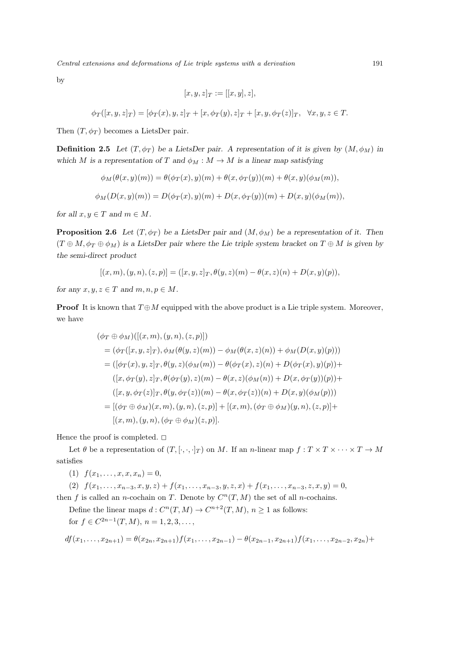*Central extensions and deformations of Lie triple systems with a derivation* 191

by

$$
[x, y, z]_T := [[x, y], z],
$$

 $\phi_T([x, y, z]_T) = [\phi_T(x), y, z]_T + [x, \phi_T(y), z]_T + [x, y, \phi_T(z)]_T, \quad \forall x, y, z \in T.$ 

Then  $(T, \phi_T)$  becomes a LietsDer pair.

**Definition 2.5** *Let*  $(T, \phi_T)$  *be a LietsDer pair.* A representation of it is given by  $(M, \phi_M)$  in *which M* is a representation of *T* and  $\phi_M : M \to M$  is a linear map satisfying

$$
\phi_M(\theta(x,y)(m)) = \theta(\phi_T(x), y)(m) + \theta(x, \phi_T(y))(m) + \theta(x, y)(\phi_M(m)),
$$
  

$$
\phi_M(D(x,y)(m)) = D(\phi_T(x), y)(m) + D(x, \phi_T(y))(m) + D(x, y)(\phi_M(m)),
$$

*for all*  $x, y \in T$  *and*  $m \in M$ *.* 

**Proposition 2.6** *Let*  $(T, \phi_T)$  *be a LietsDer pair and*  $(M, \phi_M)$  *be a representation of it. Then*  $(T \oplus M, \phi_T \oplus \phi_M)$  is a LietsDer pair where the Lie triple system bracket on  $T \oplus M$  is given by *the semi-direct product*

$$
[(x, m), (y, n), (z, p)] = ([x, y, z]_T, \theta(y, z)(m) - \theta(x, z)(n) + D(x, y)(p)),
$$

*for any*  $x, y, z \in T$  *and*  $m, n, p \in M$ .

**Proof** It is known that  $T \oplus M$  equipped with the above product is a Lie triple system. Moreover, we have

$$
(\phi_T \oplus \phi_M)([(x, m), (y, n), (z, p)])
$$
  
=  $(\phi_T([x, y, z]_T), \phi_M(\theta(y, z)(m)) - \phi_M(\theta(x, z)(n)) + \phi_M(D(x, y)(p)))$   
=  $([\phi_T(x), y, z]_T, \theta(y, z)(\phi_M(m)) - \theta(\phi_T(x), z)(n) + D(\phi_T(x), y)(p)) +$   
 $([x, \phi_T(y), z]_T, \theta(\phi_T(y), z)(m) - \theta(x, z)(\phi_M(n)) + D(x, \phi_T(y))(p)) +$   
 $([x, y, \phi_T(z)]_T, \theta(y, \phi_T(z))(m) - \theta(x, \phi_T(z))(n) + D(x, y)(\phi_M(p)))$   
=  $[(\phi_T \oplus \phi_M)(x, m), (y, n), (z, p)] + [(x, m), (\phi_T \oplus \phi_M)(y, n), (z, p)] +$   
 $[(x, m), (y, n), (\phi_T \oplus \phi_M)(z, p)].$ 

Hence the proof is completed.  $\square$ 

Let  $\theta$  be a representation of  $(T, [\cdot, \cdot, \cdot]_T)$  on *M*. If an *n*-linear map  $f: T \times T \times \cdots \times T \to M$ satisfies

(1)  $f(x_1, \ldots, x, x, x_n) = 0$ ,

(2)  $f(x_1,...,x_{n-3},x,y,z) + f(x_1,...,x_{n-3},y,z,x) + f(x_1,...,x_{n-3},z,x,y) = 0,$ then *f* is called an *n*-cochain on *T*. Denote by  $C<sup>n</sup>(T, M)$  the set of all *n*-cochains.

Define the linear maps  $d: C^n(T, M) \to C^{n+2}(T, M), n \ge 1$  as follows: for  $f \in C^{2n-1}(T, M), n = 1, 2, 3, \ldots$ ,

$$
df(x_1,...,x_{2n+1}) = \theta(x_{2n},x_{2n+1})f(x_1,...,x_{2n-1}) - \theta(x_{2n-1},x_{2n+1})f(x_1,...,x_{2n-2},x_{2n}) +
$$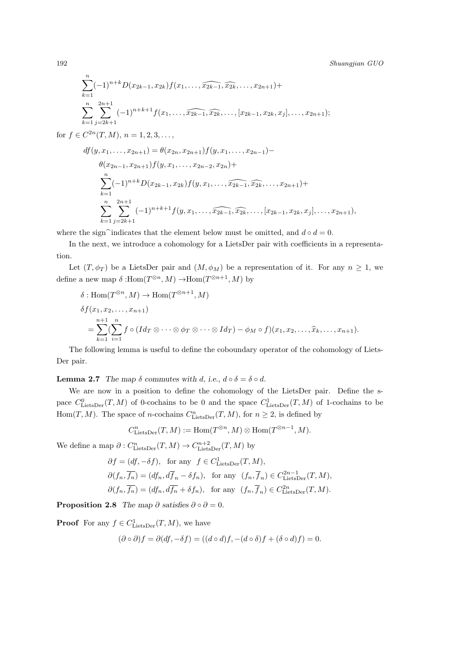$$
\sum_{k=1}^{n} (-1)^{n+k} D(x_{2k-1}, x_{2k}) f(x_1, \ldots, \widehat{x_{2k-1}}, \widehat{x_{2k}}, \ldots, x_{2n+1}) +
$$
\n
$$
\sum_{k=1}^{n} \sum_{j=2k+1}^{2n+1} (-1)^{n+k+1} f(x_1, \ldots, \widehat{x_{2k-1}}, \widehat{x_{2k}}, \ldots, [x_{2k-1}, x_{2k}, x_j], \ldots, x_{2n+1});
$$
\nfor  $f \in C^{2n}(T, M), n = 1, 2, 3, \ldots,$ \n
$$
df(y, x_1, \ldots, x_{2n+1}) = \theta(x_{2n}, x_{2n+1}) f(y, x_1, \ldots, x_{2n-1}) -
$$
\n
$$
\theta(x_{2n-1}, x_{2n+1}) f(y, x_1, \ldots, x_{2n-2}, x_{2n}) +
$$
\n
$$
\sum_{k=1}^{n} (-1)^{n+k} D(x_{2k-1}, x_{2k}) f(y, x_1, \ldots, \widehat{x_{2k-1}}, \widehat{x_{2k}}, \ldots, x_{2n+1}) +
$$
\n
$$
\sum_{k=1}^{n} \sum_{j=2k+1}^{2n+1} (-1)^{n+k+1} f(y, x_1, \ldots, \widehat{x_{2k-1}}, \widehat{x_{2k}}, \ldots, [x_{2k-1}, x_{2k}, x_j], \ldots, x_{2n+1}),
$$

where the sign<sup> $\hat{\ }$ </sup>indicates that the element below must be omitted, and  $d \circ d = 0$ .

In the next, we introduce a cohomology for a LietsDer pair with coefficients in a representation.

Let  $(T, \phi_T)$  be a LietsDer pair and  $(M, \phi_M)$  be a representation of it. For any  $n \geq 1$ , we define a new map  $\delta$  :Hom $(T^{\otimes n}, M) \to \text{Hom}(T^{\otimes n+1}, M)$  by

$$
\delta: \text{Hom}(T^{\otimes n}, M) \to \text{Hom}(T^{\otimes n+1}, M)
$$
  
\n
$$
\delta f(x_1, x_2, \dots, x_{n+1})
$$
  
\n
$$
= \sum_{k=1}^{n+1} (\sum_{i=1}^n f \circ (Id_T \otimes \dots \otimes \phi_T \otimes \dots \otimes Id_T) - \phi_M \circ f)(x_1, x_2, \dots, \widehat{x}_k, \dots, x_{n+1}).
$$

The following lemma is useful to define the coboundary operator of the cohomology of Liets-Der pair.

**Lemma 2.7** *The map*  $\delta$  *commutes with d*, *i.e.*,  $d \circ \delta = \delta \circ d$ *.* 

We are now in a position to define the cohomology of the LietsDer pair. Define the space  $C_{\text{LietsDer}}^0(T, M)$  of 0-cochains to be 0 and the space  $C_{\text{LietsDer}}^1(T, M)$  of 1-cochains to be Hom $(T, M)$ . The space of *n*-cochains  $C_{\text{LietsDer}}^n(T, M)$ , for  $n \geq 2$ , is defined by

$$
C^n_{\text{LietsDer}}(T, M) := \text{Hom}(T^{\otimes n}, M) \otimes \text{Hom}(T^{\otimes n-1}, M).
$$

We define a map  $\partial$  :  $C_{\text{LietsDer}}^n(T, M) \to C_{\text{LietsDer}}^{n+2}(T, M)$  by

$$
\begin{aligned} & \partial f = (df, -\delta f), \ \ \text{for any} \ \ f \in C^1_{\text{LietsDer}}(T, M), \\ & \partial (f_n, \overline{f_n}) = (df_n, d\overline{f}_n - \delta f_n), \ \ \text{for any} \ \ (f_n, \overline{f}_n) \in C^{2n-1}_{\text{LietsDer}}(T, M), \\ & \partial (f_n, \overline{f_n}) = (df_n, d\overline{f_n} + \delta f_n), \ \ \text{for any} \ \ (f_n, \overline{f}_n) \in C^{2n}_{\text{LietsDer}}(T, M). \end{aligned}
$$

**Proposition 2.8** *The map*  $\partial$  *satisfies*  $\partial \circ \partial = 0$ *.* 

**Proof** For any  $f \in C^1_{\text{LietsDer}}(T, M)$ , we have

$$
(\partial \circ \partial)f = \partial(df, -\delta f) = ((d \circ d)f, -(d \circ \delta)f + (\delta \circ d)f) = 0.
$$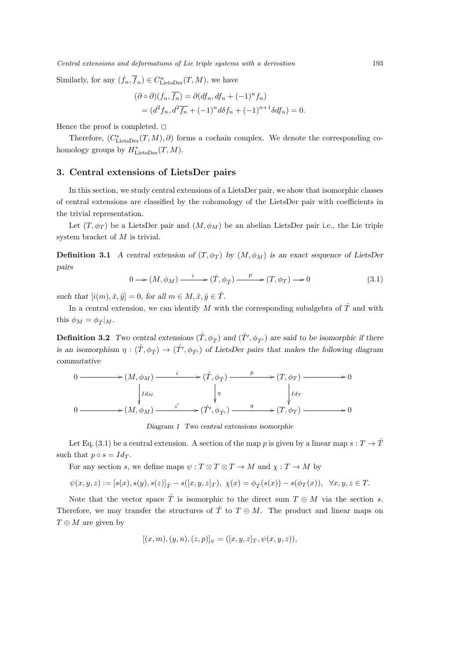*Central extensions and deformations of Lie triple systems with a derivation* 193

Similarly, for any  $(f_n, \overline{f}_n) \in C^n_{\text{LietsDer}}(T, M)$ , we have

$$
(\partial \circ \partial)(f_n, \overline{f_n}) = \partial(df_n, df_n + (-1)^n f_n)
$$
  
= 
$$
(d^2 f_n, d^2 \overline{f_n} + (-1)^n d\delta f_n + (-1)^{n+1} \delta df_n) = 0.
$$

Hence the proof is completed.  $\square$ 

Therefore,  $(C^*_{\text{LietsDer}}(T, M), \partial)$  forms a cochain complex. We denote the corresponding cohomology groups by  $H^*_{\text{LietsDer}}(T, M)$ .

#### **3. Central extensions of LietsDer pairs**

In this section, we study central extensions of a LietsDer pair, we show that isomorphic classes of central extensions are classified by the cohomology of the LietsDer pair with coefficients in the trivial representation.

Let  $(T, \phi_T)$  be a LietsDer pair and  $(M, \phi_M)$  be an abelian LietsDer pair i.e., the Lie triple system bracket of *M* is trivial.

**Definition 3.1** *A central extension of*  $(T, \phi_T)$  *by*  $(M, \phi_M)$  *is an exact sequence of LietsDer pairs*

$$
0 \longrightarrow (M, \phi_M) \xrightarrow{i} (\hat{T}, \phi_{\hat{T}}) \xrightarrow{p} (T, \phi_T) \longrightarrow 0 \tag{3.1}
$$

*such that*  $[i(m), \hat{x}, \hat{y}] = 0$ , for all  $m \in M, \hat{x}, \hat{y} \in \hat{T}$ .

In a central extension, we can identify  $M$  with the corresponding subalgebra of  $\hat{T}$  and with this  $\phi_M = \phi_{\hat{T}}|_M$ .

**Definition 3.2** *Two central extensions*  $(\hat{T}, \phi_{\hat{T}})$  *and*  $(\hat{T'}, \phi_{\hat{T'}})$  *are said to be isomorphic if there is an isomorphism*  $\eta : (\hat{T}, \phi_{\hat{T}}) \to (\hat{T}', \phi_{\hat{T}'})$  *of LietsDer pairs that makes the following diagram commutative*



*Diagram 1 Two central extensions isomorphic*

Let Eq. (3.1) be a central extension. A section of the map *p* is given by a linear map  $s: T \to \hat{T}$ such that  $p \circ s = Id_T$ .

For any section *s*, we define maps  $\psi : T \otimes T \otimes T \to M$  and  $\chi : T \to M$  by

 $\psi(x, y, z) := [s(x), s(y), s(z)]_{\hat{T}} - s([x, y, z]_T), \chi(x) = \phi_{\hat{T}}(s(x)) - s(\phi_T(x)), \quad \forall x, y, z \in T.$ 

Note that the vector space  $\hat{T}$  is isomorphic to the direct sum  $T \oplus M$  via the section *s*. Therefore, we may transfer the structures of  $\hat{T}$  to  $T \oplus M$ . The product and linear maps on *T ⊕ M* are given by

$$
[(x, m), (y, n), (z, p)]_{\psi} = ([x, y, z]_T, \psi(x, y, z)),
$$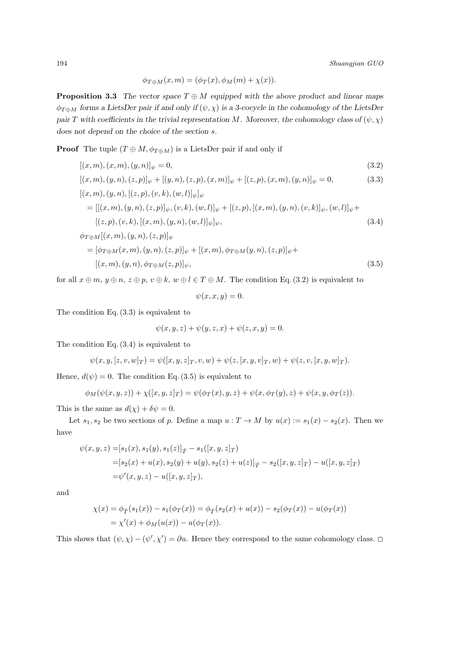$$
\phi_{T\oplus M}(x,m)=(\phi_T(x),\phi_M(m)+\chi(x)).
$$

**Proposition 3.3** *The vector space*  $T \oplus M$  *equipped with the above product and linear maps*  $\phi_{T \oplus M}$  forms a LietsDer pair if and only if  $(\psi, \chi)$  is a 3-cocycle in the cohomology of the LietsDer *pair T* with coefficients in the trivial representation *M.* Moreover, the cohomology class of  $(\psi, \chi)$ *does not depend on the choice of the section s.*

**Proof** The tuple  $(T \oplus M, \phi_{T \oplus M})$  is a LietsDer pair if and only if

$$
[(x, m), (x, m), (y, n)]_{\psi} = 0,
$$
\n(3.2)

$$
[(x, m), (y, n), (z, p)]_{\psi} + [(y, n), (z, p), (x, m)]_{\psi} + [(z, p), (x, m), (y, n)]_{\psi} = 0,
$$
\n
$$
[(x, m), (y, n), [(z, p), (v, k), (w, l)]_{\psi}]_{\psi}
$$
\n(3.3)

$$
= [[(x, m), (y, n), (z, p)]_{\psi}, (v, k), (w, l)]_{\psi} + [(z, p), [(x, m), (y, n), (v, k)]_{\psi}, (w, l)]_{\psi} + [(z, p), (v, k), [(x, m), (y, n), (w, l)]_{\psi}]_{\psi},
$$
\n(3.4)

$$
\phi_{T \oplus M}[(x, m), (y, n), (z, p)]_{\psi}
$$
\n
$$
= [\phi_{T \oplus M}(x, m), (y, n), (z, p)]_{\psi} + [(x, m), \phi_{T \oplus M}(y, n), (z, p)]_{\psi} + [(x, m), (y, n), \phi_{T \oplus M}(z, p)]_{\psi},
$$
\n(3.5)

for all  $x \oplus m$ ,  $y \oplus n$ ,  $z \oplus p$ ,  $v \oplus k$ ,  $w \oplus l \in T \oplus M$ . The condition Eq. (3.2) is equivalent to

$$
\psi(x, x, y) = 0.
$$

The condition Eq. (3.3) is equivalent to

$$
\psi(x, y, z) + \psi(y, z, x) + \psi(z, x, y) = 0.
$$

The condition Eq. (3.4) is equivalent to

$$
\psi(x, y, [z, v, w]_T) = \psi([x, y, z]_T, v, w) + \psi(z, [x, y, v]_T, w) + \psi(z, v, [x, y, w]_T).
$$

Hence,  $d(\psi) = 0$ . The condition Eq. (3.5) is equivalent to

$$
\phi_M(\psi(x, y, z)) + \chi([x, y, z]_T) = \psi(\phi_T(x), y, z) + \psi(x, \phi_T(y), z) + \psi(x, y, \phi_T(z)).
$$

This is the same as  $d(\chi) + \delta \psi = 0$ .

Let  $s_1, s_2$  be two sections of *p*. Define a map  $u: T \to M$  by  $u(x) := s_1(x) - s_2(x)$ . Then we have

$$
\psi(x, y, z) = [s_1(x), s_1(y), s_1(z)]_{\hat{T}} - s_1([x, y, z]_T)
$$
  
=  $[s_2(x) + u(x), s_2(y) + u(y), s_2(z) + u(z)]_{\hat{T}} - s_2([x, y, z]_T) - u([x, y, z]_T)$   
=  $\psi'(x, y, z) - u([x, y, z]_T),$ 

and

$$
\chi(x) = \phi_{\hat{T}}(s_1(x)) - s_1(\phi_T(x)) = \phi_{\hat{T}}(s_2(x) + u(x)) - s_2(\phi_T(x)) - u(\phi_T(x))
$$
  
=  $\chi'(x) + \phi_M(u(x)) - u(\phi_T(x)).$ 

This shows that  $(\psi, \chi) - (\psi', \chi') = \partial u$ . Hence they correspond to the same cohomology class.  $\Box$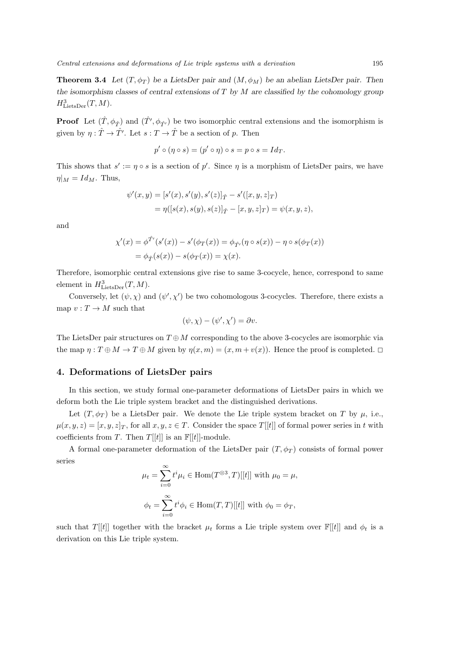**Theorem 3.4** *Let*  $(T, \phi_T)$  *be a LietsDer pair and*  $(M, \phi_M)$  *be an abelian LietsDer pair. Then the isomorphism classes of central extensions of T by M are classified by the cohomology group*  $H^3_{\text{LietsDer}}(T, M)$ .

**Proof** Let  $(\hat{T}, \phi_{\hat{T}})$  and  $(\hat{T}', \phi_{\hat{T'}})$  be two isomorphic central extensions and the isomorphism is given by  $\eta : \hat{T} \to \hat{T}'$ . Let  $s : T \to \hat{T}$  be a section of  $p$ . Then

$$
p' \circ (\eta \circ s) = (p' \circ \eta) \circ s = p \circ s = Id_T.
$$

This shows that  $s' := \eta \circ s$  is a section of  $p'$ . Since  $\eta$  is a morphism of LietsDer pairs, we have  $\eta|_M = Id_M$ . Thus,

$$
\psi'(x, y) = [s'(x), s'(y), s'(z)]_{\hat{T}} - s'([x, y, z]_{T})
$$
  
=  $\eta([s(x), s(y), s(z)]_{\hat{T}} - [x, y, z]_{T}) = \psi(x, y, z),$ 

and

$$
\chi'(x) = \phi^{\hat{T}'}(s'(x)) - s'(\phi_T(x)) = \phi_{\hat{T}'}(\eta \circ s(x)) - \eta \circ s(\phi_T(x))
$$
  
=  $\phi_{\hat{T}}(s(x)) - s(\phi_T(x)) = \chi(x).$ 

Therefore, isomorphic central extensions give rise to same 3-cocycle, hence, correspond to same element in  $H^3_{\text{LietsDer}}(T, M)$ .

Conversely, let  $(\psi, \chi)$  and  $(\psi', \chi')$  be two cohomologous 3-cocycles. Therefore, there exists a map  $v: T \to M$  such that

$$
(\psi, \chi) - (\psi', \chi') = \partial v.
$$

The LietsDer pair structures on  $T \oplus M$  corresponding to the above 3-cocycles are isomorphic via the map  $\eta: T \oplus M \to T \oplus M$  given by  $\eta(x,m) = (x, m + v(x))$ . Hence the proof is completed.  $\Box$ 

### **4. Deformations of LietsDer pairs**

In this section, we study formal one-parameter deformations of LietsDer pairs in which we deform both the Lie triple system bracket and the distinguished derivations.

Let  $(T, \phi_T)$  be a LietsDer pair. We denote the Lie triple system bracket on *T* by  $\mu$ , i.e.,  $\mu(x, y, z) = [x, y, z]_T$ , for all  $x, y, z \in T$ . Consider the space  $T[[t]]$  of formal power series in *t* with coefficients from *T*. Then *T*[[*t*]] is an  $\mathbb{F}[[t]]$ -module.

A formal one-parameter deformation of the LietsDer pair  $(T, \phi_T)$  consists of formal power series

$$
\mu_t = \sum_{i=0}^{\infty} t^i \mu_i \in \text{Hom}(T^{\otimes 3}, T)[[t]] \text{ with } \mu_0 = \mu,
$$
  

$$
\phi_t = \sum_{i=0}^{\infty} t^i \phi_i \in \text{Hom}(T, T)[[t]] \text{ with } \phi_0 = \phi_T,
$$

such that *T*[[*t*]] together with the bracket  $\mu_t$  forms a Lie triple system over  $\mathbb{F}[[t]]$  and  $\phi_t$  is a derivation on this Lie triple system.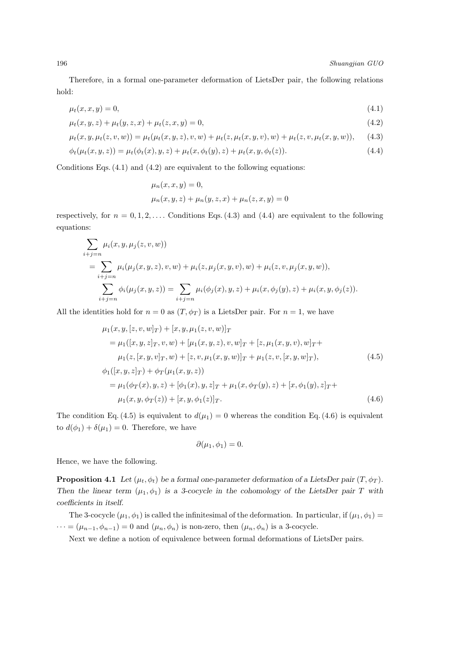Therefore, in a formal one-parameter deformation of LietsDer pair, the following relations hold:

$$
\mu_t(x, x, y) = 0,\tag{4.1}
$$

$$
\mu_t(x, y, z) + \mu_t(y, z, x) + \mu_t(z, x, y) = 0,\tag{4.2}
$$

$$
\mu_t(x, y, \mu_t(z, v, w)) = \mu_t(\mu_t(x, y, z), v, w) + \mu_t(z, \mu_t(x, y, v), w) + \mu_t(z, v, \mu_t(x, y, w)), \quad (4.3)
$$

$$
\phi_t(\mu_t(x, y, z)) = \mu_t(\phi_t(x), y, z) + \mu_t(x, \phi_t(y), z) + \mu_t(x, y, \phi_t(z)).
$$
\n(4.4)

Conditions Eqs.  $(4.1)$  and  $(4.2)$  are equivalent to the following equations:

$$
\mu_n(x, x, y) = 0,\n\mu_n(x, y, z) + \mu_n(y, z, x) + \mu_n(z, x, y) = 0
$$

respectively, for  $n = 0, 1, 2, \ldots$  Conditions Eqs. (4.3) and (4.4) are equivalent to the following equations:

$$
\sum_{i+j=n} \mu_i(x, y, \mu_j(z, v, w))
$$
\n
$$
= \sum_{i+j=n} \mu_i(\mu_j(x, y, z), v, w) + \mu_i(z, \mu_j(x, y, v), w) + \mu_i(z, v, \mu_j(x, y, w)),
$$
\n
$$
\sum_{i+j=n} \phi_i(\mu_j(x, y, z)) = \sum_{i+j=n} \mu_i(\phi_j(x), y, z) + \mu_i(x, \phi_j(y), z) + \mu_i(x, y, \phi_j(z)).
$$

All the identities hold for  $n = 0$  as  $(T, \phi_T)$  is a LietsDer pair. For  $n = 1$ , we have

$$
\mu_1(x, y, [z, v, w]_T) + [x, y, \mu_1(z, v, w)]_T \n= \mu_1([x, y, z]_T, v, w) + [\mu_1(x, y, z), v, w]_T + [z, \mu_1(x, y, v), w]_T + \n\mu_1(z, [x, y, v]_T, w) + [z, v, \mu_1(x, y, w)]_T + \mu_1(z, v, [x, y, w]_T), \n\phi_1([x, y, z]_T) + \phi_T(\mu_1(x, y, z)) \n= \mu_1(\phi_T(x), y, z) + [\phi_1(x), y, z]_T + \mu_1(x, \phi_T(y), z) + [x, \phi_1(y), z]_T + \n\mu_1(x, y, \phi_T(z)) + [x, y, \phi_1(z)]_T.
$$
\n(4.6)

The condition Eq. (4.5) is equivalent to  $d(\mu_1) = 0$  whereas the condition Eq. (4.6) is equivalent to  $d(\phi_1) + \delta(\mu_1) = 0$ . Therefore, we have

$$
\partial(\mu_1, \phi_1) = 0.
$$

Hence, we have the following.

**Proposition 4.1** *Let*  $(\mu_t, \phi_t)$  *be a formal one-parameter deformation of a LietsDer pair*  $(T, \phi_T)$ *. Then the linear term*  $(\mu_1, \phi_1)$  *is a 3-cocycle in the cohomology of the LietsDer pair T with coefficients in itself.*

The 3-cocycle  $(\mu_1, \phi_1)$  is called the infinitesimal of the deformation. In particular, if  $(\mu_1, \phi_1)$  =  $\dots = (\mu_{n-1}, \phi_{n-1}) = 0$  and  $(\mu_n, \phi_n)$  is non-zero, then  $(\mu_n, \phi_n)$  is a 3-cocycle.

Next we define a notion of equivalence between formal deformations of LietsDer pairs.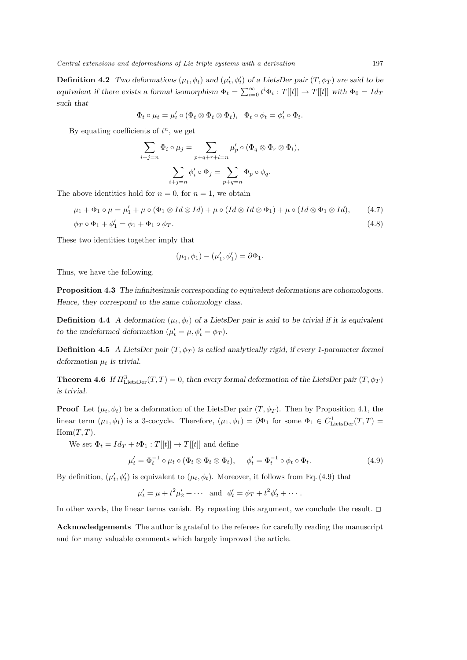**Definition 4.2** *Two deformations*  $(\mu_t, \phi_t)$  *and*  $(\mu'_t, \phi'_t)$  *of a LietsDer pair*  $(T, \phi_T)$  *are said to be equivalent if there exists a formal isomorphism*  $\Phi_t = \sum_{i=0}^{\infty} t^i \Phi_i : T[[t]] \to T[[t]]$  with  $\Phi_0 = Id_T$ *such that*

$$
\Phi_t \circ \mu_t = \mu'_t \circ (\Phi_t \otimes \Phi_t \otimes \Phi_t), \quad \Phi_t \circ \phi_t = \phi'_t \circ \Phi_t.
$$

By equating coefficients of *t <sup>n</sup>*, we get

$$
\sum_{i+j=n} \Phi_i \circ \mu_j = \sum_{p+q+r+l=n} \mu'_p \circ (\Phi_q \otimes \Phi_r \otimes \Phi_l),
$$

$$
\sum_{i+j=n} \phi'_i \circ \Phi_j = \sum_{p+q=n} \Phi_p \circ \phi_q.
$$

The above identities hold for  $n = 0$ , for  $n = 1$ , we obtain

$$
\mu_1 + \Phi_1 \circ \mu = \mu_1' + \mu \circ (\Phi_1 \otimes Id \otimes Id) + \mu \circ (Id \otimes Id \otimes \Phi_1) + \mu \circ (Id \otimes \Phi_1 \otimes Id), \tag{4.7}
$$

$$
\phi_T \circ \Phi_1 + \phi'_1 = \phi_1 + \Phi_1 \circ \phi_T. \tag{4.8}
$$

These two identities together imply that

$$
(\mu_1, \phi_1) - (\mu'_1, \phi'_1) = \partial \Phi_1.
$$

Thus, we have the following.

**Proposition 4.3** *The infinitesimals corresponding to equivalent deformations are cohomologous. Hence, they correspond to the same cohomology class.*

**Definition 4.4** *A deformation* ( $\mu_t$ ,  $\phi_t$ ) *of a LietsDer pair is said to be trivial if it is equivalent to the undeformed deformation*  $(\mu'_{t} = \mu, \phi'_{t} = \phi_{T})$ *.* 

**Definition 4.5** *A LietsDer pair*  $(T, \phi_T)$  *is called analytically rigid, if every 1-parameter formal deformation*  $\mu_t$  *is trivial.* 

**Theorem 4.6** *If*  $H_{\text{LietsDer}}^3(T, T) = 0$ *, then every formal deformation of the LietsDer pair*  $(T, \phi_T)$ *is trivial.*

**Proof** Let  $(\mu_t, \phi_t)$  be a deformation of the LietsDer pair  $(T, \phi_T)$ . Then by Proposition 4.1, the linear term  $(\mu_1, \phi_1)$  is a 3-cocycle. Therefore,  $(\mu_1, \phi_1) = \partial \Phi_1$  for some  $\Phi_1 \in C^1_{\text{LietsDer}}(T, T) =$  $Hom(T, T)$ .

We set  $\Phi_t = Id_T + t\Phi_1 : T[[t]] \to T[[t]]$  and define

$$
\mu'_t = \Phi_t^{-1} \circ \mu_t \circ (\Phi_t \otimes \Phi_t \otimes \Phi_t), \quad \phi'_t = \Phi_t^{-1} \circ \phi_t \circ \Phi_t.
$$
\n(4.9)

By definition,  $(\mu'_t, \phi'_t)$  is equivalent to  $(\mu_t, \phi_t)$ . Moreover, it follows from Eq. (4.9) that

$$
\mu'_t = \mu + t^2 \mu'_2 + \cdots
$$
 and  $\phi'_t = \phi_T + t^2 \phi'_2 + \cdots$ .

In other words, the linear terms vanish. By repeating this argument, we conclude the result.  $\Box$ 

**Acknowledgements** The author is grateful to the referees for carefully reading the manuscript and for many valuable comments which largely improved the article.